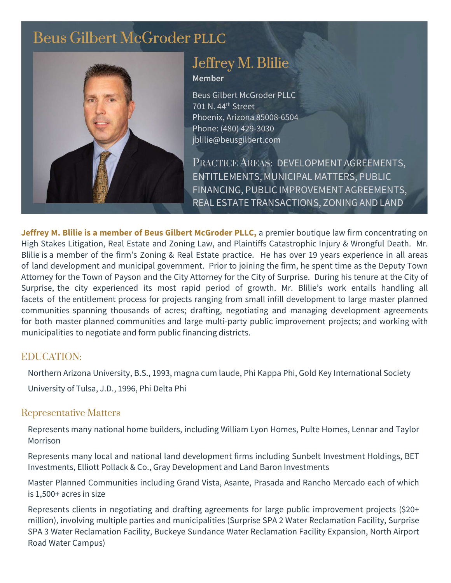# [Beus Gilbert McGroder](https://beusgilbert.com/) PLLC



## [Jeffrey M. Blilie](https://beusgilbert.com/team/jeff-blilie/) Member

Beus Gilbert McGroder PLLC 701 N. 44th Street Phoenix, Arizona 85008-6504 Phone: (480) 429-3030 jblilie@beusgilbert.com

PRACTICE AREAS: DEVELOPMENT AGREEMENTS, ENTITLEMENTS, MUNICIPAL MATTERS, PUBLIC FINANCING, PUBLIC IMPROVEMENT AGREEMENTS, REAL ESTATE TRANSACTIONS, ZONING AND LAND

Jeffrey M. Blilie is a **member** of Beus Gilbert McGroder **PLLC**, a premier boutique law firm concentrating on High Stakes Litigation, Real Estate and Zoning Law, and Plaintiffs Catastrophic Injury & Wrongful Death. Mr. Blilie is a member of the firm's Zoning & Real Estate practice. He has over 19 years experience in all areas of land development and municipal government. Prior to joining the firm, he spent time as the Deputy Town Attorney for the Town of Payson and the City Attorney for the City of Surprise. During his tenure at the City of Surprise, the city experienced its most rapid period of growth. Mr. Blilie's work entails handling all facets of the entitlement process for projects ranging from small infill development to large master planned communities spanning thousands of acres; drafting, negotiating and managing development agreements for both master planned communities and large multi-party public improvement projects; and working with municipalities to negotiate and form public financing districts.

#### EDUCATION:

Northern Arizona University, B.S., 1993, magna cum laude, Phi Kappa Phi, Gold Key International Society

University of Tulsa, J.D., 1996, Phi Delta Phi

#### Representative Matters

Represents many national home builders, including William Lyon Homes, Pulte Homes, Lennar and Taylor Morrison

Represents many local and national land development firms including Sunbelt Investment Holdings, BET Investments, Elliott Pollack & Co., Gray Development and Land Baron Investments

Master Planned Communities including Grand Vista, Asante, Prasada and Rancho Mercado each of which is 1,500+ acres in size

Represents clients in negotiating and drafting agreements for large public improvement projects (\$20+ million), involving multiple parties and municipalities (Surprise SPA 2 Water Reclamation Facility, Surprise SPA 3 Water Reclamation Facility, Buckeye Sundance Water Reclamation Facility Expansion, North Airport Road Water Campus)